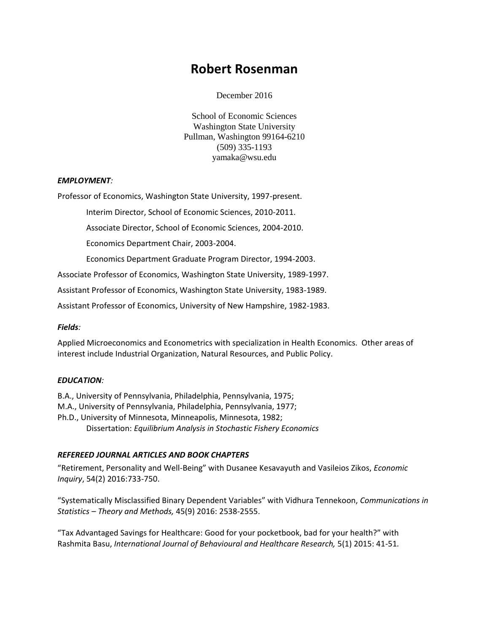# **Robert Rosenman**

December 2016

School of Economic Sciences Washington State University Pullman, Washington 99164-6210 (509) 335-1193 yamaka@wsu.edu

## *EMPLOYMENT:*

Professor of Economics, Washington State University, 1997-present.

Interim Director, School of Economic Sciences, 2010-2011.

Associate Director, School of Economic Sciences, 2004-2010.

Economics Department Chair, 2003-2004.

Economics Department Graduate Program Director, 1994-2003.

Associate Professor of Economics, Washington State University, 1989-1997.

Assistant Professor of Economics, Washington State University, 1983-1989.

Assistant Professor of Economics, University of New Hampshire, 1982-1983.

#### *Fields:*

Applied Microeconomics and Econometrics with specialization in Health Economics. Other areas of interest include Industrial Organization, Natural Resources, and Public Policy.

#### *EDUCATION:*

B.A., University of Pennsylvania, Philadelphia, Pennsylvania, 1975; M.A., University of Pennsylvania, Philadelphia, Pennsylvania, 1977; Ph.D., University of Minnesota, Minneapolis, Minnesota, 1982; Dissertation: *Equilibrium Analysis in Stochastic Fishery Economics* 

# *REFEREED JOURNAL ARTICLES AND BOOK CHAPTERS*

"Retirement, Personality and Well-Being" with Dusanee Kesavayuth and Vasileios Zikos, *Economic Inquiry*, 54(2) 2016:733-750.

"Systematically Misclassified Binary Dependent Variables" with Vidhura Tennekoon, *Communications in Statistics – Theory and Methods,* 45(9) 2016: 2538-2555.

"Tax Advantaged Savings for Healthcare: Good for your pocketbook, bad for your health?" with Rashmita Basu, *International Journal of Behavioural and Healthcare Research,* 5(1) 2015: 41-51.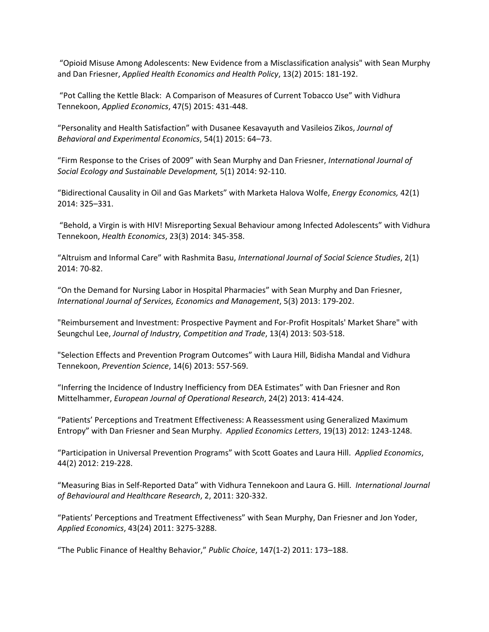"Opioid Misuse Among Adolescents: New Evidence from a Misclassification analysis" with Sean Murphy and Dan Friesner, *Applied Health Economics and Health Policy*, 13(2) 2015: 181-192.

"Pot Calling the Kettle Black: A Comparison of Measures of Current Tobacco Use" with Vidhura Tennekoon, *Applied Economics*, 47(5) 2015: 431-448.

"Personality and Health Satisfaction" with Dusanee Kesavayuth and Vasileios Zikos, *Journal of Behavioral and Experimental Economics*, 54(1) 2015: 64–73.

"Firm Response to the Crises of 2009" with Sean Murphy and Dan Friesner, *International Journal of Social Ecology and Sustainable Development,* 5(1) 2014: 92-110.

"Bidirectional Causality in Oil and Gas Markets" with Marketa Halova Wolfe, *Energy Economics,* 42(1) 2014: 325–331.

"Behold, a Virgin is with HIV! Misreporting Sexual Behaviour among Infected Adolescents" with Vidhura Tennekoon, *Health Economics*, 23(3) 2014: 345-358.

"Altruism and Informal Care" with Rashmita Basu, *International Journal of Social Science Studies*, 2(1) 2014: 70-82.

"On the Demand for Nursing Labor in Hospital Pharmacies" with Sean Murphy and Dan Friesner, *International Journal of Services, Economics and Management*, 5(3) 2013: 179-202.

"Reimbursement and Investment: Prospective Payment and For-Profit Hospitals' Market Share" with Seungchul Lee, *Journal of Industry, Competition and Trade*, 13(4) 2013: 503-518.

"Selection Effects and Prevention Program Outcomes" with Laura Hill, Bidisha Mandal and Vidhura Tennekoon, *Prevention Science*, 14(6) 2013: 557-569.

"Inferring the Incidence of Industry Inefficiency from DEA Estimates" with Dan Friesner and Ron Mittelhammer, *European Journal of Operational Research*, 24(2) 2013: 414-424.

"Patients' Perceptions and Treatment Effectiveness: A Reassessment using Generalized Maximum Entropy" with Dan Friesner and Sean Murphy. *Applied Economics Letters*, 19(13) 2012: 1243-1248.

"Participation in Universal Prevention Programs" with Scott Goates and Laura Hill. *Applied Economics*, 44(2) 2012: 219-228.

"Measuring Bias in Self-Reported Data" with Vidhura Tennekoon and Laura G. Hill. *International Journal of Behavioural and Healthcare Research*, 2, 2011: 320-332.

"Patients' Perceptions and Treatment Effectiveness" with Sean Murphy, Dan Friesner and Jon Yoder, *Applied Economics*, 43(24) 2011: 3275-3288.

"The Public Finance of Healthy Behavior," *Public Choice*, 147(1-2) 2011: 173–188.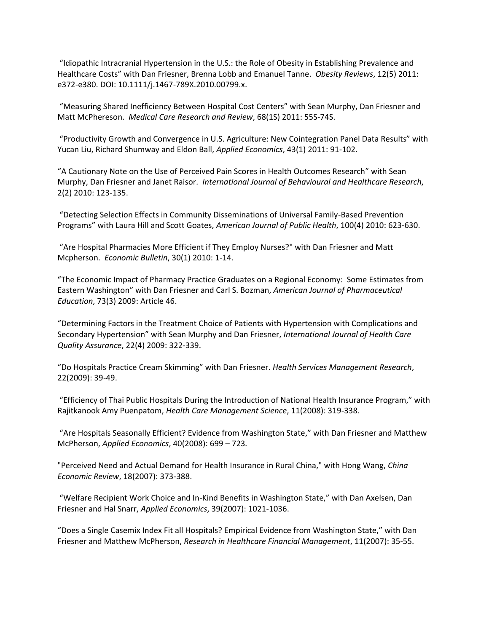"Idiopathic Intracranial Hypertension in the U.S.: the Role of Obesity in Establishing Prevalence and Healthcare Costs" with Dan Friesner, Brenna Lobb and Emanuel Tanne. *Obesity Reviews*, 12(5) 2011: e372-e380. DOI: 10.1111/j.1467-789X.2010.00799.x.

"Measuring Shared Inefficiency Between Hospital Cost Centers" with Sean Murphy, Dan Friesner and Matt McPhereson. *Medical Care Research and Review*, 68(1S) 2011: 55S-74S.

"Productivity Growth and Convergence in U.S. Agriculture: New Cointegration Panel Data Results" with Yucan Liu, Richard Shumway and Eldon Ball, *Applied Economics*, 43(1) 2011: 91-102.

"A Cautionary Note on the Use of Perceived Pain Scores in Health Outcomes Research" with Sean Murphy, Dan Friesner and Janet Raisor. *International Journal of Behavioural and Healthcare Research*, 2(2) 2010: 123-135.

"Detecting Selection Effects in Community Disseminations of Universal Family-Based Prevention Programs" with Laura Hill and Scott Goates, *American Journal of Public Health*, 100(4) 2010: 623-630.

"Are Hospital Pharmacies More Efficient if They Employ Nurses?" with Dan Friesner and Matt Mcpherson. *Economic Bulletin*, 30(1) 2010: 1-14.

"The Economic Impact of Pharmacy Practice Graduates on a Regional Economy: Some Estimates from Eastern Washington" with Dan Friesner and Carl S. Bozman, *American Journal of Pharmaceutical Education*, 73(3) 2009: Article 46.

"Determining Factors in the Treatment Choice of Patients with Hypertension with Complications and Secondary Hypertension" with Sean Murphy and Dan Friesner, *International Journal of Health Care Quality Assurance*, 22(4) 2009: 322-339.

"Do Hospitals Practice Cream Skimming" with Dan Friesner. *Health Services Management Research*, 22(2009): 39-49.

"Efficiency of Thai Public Hospitals During the Introduction of National Health Insurance Program," with Rajitkanook Amy Puenpatom, *Health Care Management Science*, 11(2008): 319-338.

"Are Hospitals Seasonally Efficient? Evidence from Washington State," with Dan Friesner and Matthew McPherson, *Applied Economics*, 40(2008): 699 – 723*.* 

"Perceived Need and Actual Demand for Health Insurance in Rural China," with Hong Wang, *China Economic Review*, 18(2007): 373-388.

"Welfare Recipient Work Choice and In-Kind Benefits in Washington State," with Dan Axelsen, Dan Friesner and Hal Snarr, *Applied Economics*, 39(2007): 1021-1036.

"Does a Single Casemix Index Fit all Hospitals? Empirical Evidence from Washington State," with Dan Friesner and Matthew McPherson, *Research in Healthcare Financial Management*, 11(2007): 35-55.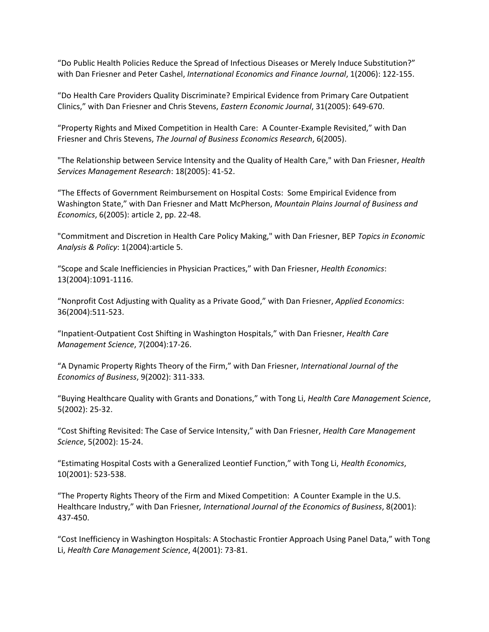"Do Public Health Policies Reduce the Spread of Infectious Diseases or Merely Induce Substitution?" with Dan Friesner and Peter Cashel, *International Economics and Finance Journal*, 1(2006): 122-155.

"Do Health Care Providers Quality Discriminate? Empirical Evidence from Primary Care Outpatient Clinics," with Dan Friesner and Chris Stevens, *Eastern Economic Journal*, 31(2005): 649-670.

"Property Rights and Mixed Competition in Health Care: A Counter-Example Revisited," with Dan Friesner and Chris Stevens, *The Journal of Business Economics Research*, 6(2005).

"The Relationship between Service Intensity and the Quality of Health Care," with Dan Friesner, *Health Services Management Research*: 18(2005): 41-52.

"The Effects of Government Reimbursement on Hospital Costs: Some Empirical Evidence from Washington State," with Dan Friesner and Matt McPherson, *Mountain Plains Journal of Business and Economics*, 6(2005): article 2, pp. 22-48.

"Commitment and Discretion in Health Care Policy Making," with Dan Friesner, BEP *Topics in Economic Analysis & Policy*: 1(2004):article 5.

"Scope and Scale Inefficiencies in Physician Practices," with Dan Friesner, *Health Economics*: 13(2004):1091-1116.

"Nonprofit Cost Adjusting with Quality as a Private Good," with Dan Friesner, *Applied Economics*: 36(2004):511-523.

"Inpatient-Outpatient Cost Shifting in Washington Hospitals," with Dan Friesner, *Health Care Management Science*, 7(2004):17-26.

"A Dynamic Property Rights Theory of the Firm," with Dan Friesner, *International Journal of the Economics of Business*, 9(2002): 311-333*.*

"Buying Healthcare Quality with Grants and Donations," with Tong Li, *Health Care Management Science*, 5(2002): 25-32.

"Cost Shifting Revisited: The Case of Service Intensity," with Dan Friesner, *Health Care Management Science*, 5(2002): 15-24.

"Estimating Hospital Costs with a Generalized Leontief Function," with Tong Li, *Health Economics*, 10(2001): 523-538.

"The Property Rights Theory of the Firm and Mixed Competition: A Counter Example in the U.S. Healthcare Industry," with Dan Friesner*, International Journal of the Economics of Business*, 8(2001): 437-450.

"Cost Inefficiency in Washington Hospitals: A Stochastic Frontier Approach Using Panel Data," with Tong Li, *Health Care Management Science*, 4(2001): 73-81.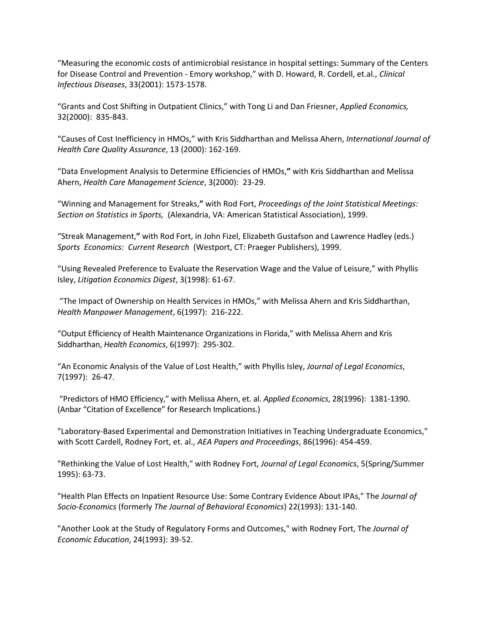"Measuring the economic costs of antimicrobial resistance in hospital settings: Summary of the Centers for Disease Control and Prevention - Emory workshop," with D. Howard, R. Cordell, et.al., *Clinical Infectious Diseases*, 33(2001): 1573-1578.

"Grants and Cost Shifting in Outpatient Clinics," with Tong Li and Dan Friesner, *Applied Economics,*  32(2000): 835-843.

"Causes of Cost Inefficiency in HMOs," with Kris Siddharthan and Melissa Ahern, *International Journal of Health Care Quality Assurance*, 13 (2000): 162-169.

"Data Envelopment Analysis to Determine Efficiencies of HMOs,**"** with Kris Siddharthan and Melissa Ahern, *Health Care Management Science*, 3(2000): 23-29.

"Winning and Management for Streaks,**"** with Rod Fort, *Proceedings of the Joint Statistical Meetings: Section on Statistics in Sports,* (Alexandria, VA: American Statistical Association), 1999.

"Streak Management,**"** with Rod Fort, in John Fizel, Elizabeth Gustafson and Lawrence Hadley (eds.) *Sports Economics: Current Research* (Westport, CT: Praeger Publishers), 1999.

"Using Revealed Preference to Evaluate the Reservation Wage and the Value of Leisure," with Phyllis Isley, *Litigation Economics Digest*, 3(1998): 61-67.

"The Impact of Ownership on Health Services in HMOs," with Melissa Ahern and Kris Siddharthan, *Health Manpower Management*, 6(1997): 216-222.

"Output Efficiency of Health Maintenance Organizations in Florida," with Melissa Ahern and Kris Siddharthan, *Health Economics*, 6(1997): 295-302.

"An Economic Analysis of the Value of Lost Health," with Phyllis Isley, *Journal of Legal Economics*, 7(1997): 26-47.

"Predictors of HMO Efficiency," with Melissa Ahern, et. al. *Applied Economics*, 28(1996): 1381-1390. (Anbar "Citation of Excellence" for Research Implications.)

"Laboratory-Based Experimental and Demonstration Initiatives in Teaching Undergraduate Economics," with Scott Cardell, Rodney Fort, et. al., *AEA Papers and Proceedings*, 86(1996): 454-459.

"Rethinking the Value of Lost Health," with Rodney Fort, *Journal of Legal Economics*, 5(Spring/Summer 1995): 63-73.

"Health Plan Effects on Inpatient Resource Use: Some Contrary Evidence About IPAs," The *Journal of Socio-Economics* (formerly *The Journal of Behavioral Economics*) 22(1993): 131-140.

"Another Look at the Study of Regulatory Forms and Outcomes," with Rodney Fort, The *Journal of Economic Education*, 24(1993): 39-52.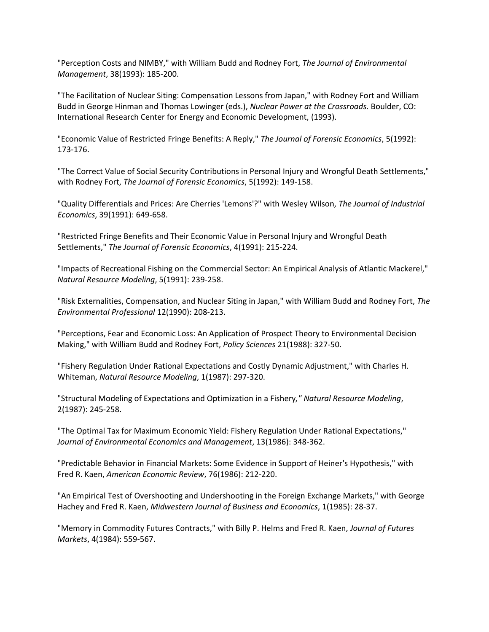"Perception Costs and NIMBY," with William Budd and Rodney Fort, *The Journal of Environmental Management*, 38(1993): 185-200.

"The Facilitation of Nuclear Siting: Compensation Lessons from Japan," with Rodney Fort and William Budd in George Hinman and Thomas Lowinger (eds.), *Nuclear Power at the Crossroads.* Boulder, CO: International Research Center for Energy and Economic Development, (1993).

"Economic Value of Restricted Fringe Benefits: A Reply," *The Journal of Forensic Economics*, 5(1992): 173-176.

"The Correct Value of Social Security Contributions in Personal Injury and Wrongful Death Settlements," with Rodney Fort, *The Journal of Forensic Economics*, 5(1992): 149-158.

"Quality Differentials and Prices: Are Cherries 'Lemons'?" with Wesley Wilson, *The Journal of Industrial Economics*, 39(1991): 649-658.

"Restricted Fringe Benefits and Their Economic Value in Personal Injury and Wrongful Death Settlements," *The Journal of Forensic Economics*, 4(1991): 215-224.

"Impacts of Recreational Fishing on the Commercial Sector: An Empirical Analysis of Atlantic Mackerel," *Natural Resource Modeling*, 5(1991): 239-258.

"Risk Externalities, Compensation, and Nuclear Siting in Japan," with William Budd and Rodney Fort, *The Environmental Professional* 12(1990): 208-213.

"Perceptions, Fear and Economic Loss: An Application of Prospect Theory to Environmental Decision Making," with William Budd and Rodney Fort, *Policy Sciences* 21(1988): 327-50.

"Fishery Regulation Under Rational Expectations and Costly Dynamic Adjustment," with Charles H. Whiteman, *Natural Resource Modeling*, 1(1987): 297-320.

"Structural Modeling of Expectations and Optimization in a Fishery*," Natural Resource Modeling*, 2(1987): 245-258.

"The Optimal Tax for Maximum Economic Yield: Fishery Regulation Under Rational Expectations," *Journal of Environmental Economics and Management*, 13(1986): 348-362.

"Predictable Behavior in Financial Markets: Some Evidence in Support of Heiner's Hypothesis," with Fred R. Kaen, *American Economic Review*, 76(1986): 212-220.

"An Empirical Test of Overshooting and Undershooting in the Foreign Exchange Markets," with George Hachey and Fred R. Kaen, *Midwestern Journal of Business and Economics*, 1(1985): 28-37.

"Memory in Commodity Futures Contracts," with Billy P. Helms and Fred R. Kaen, *Journal of Futures Markets*, 4(1984): 559-567.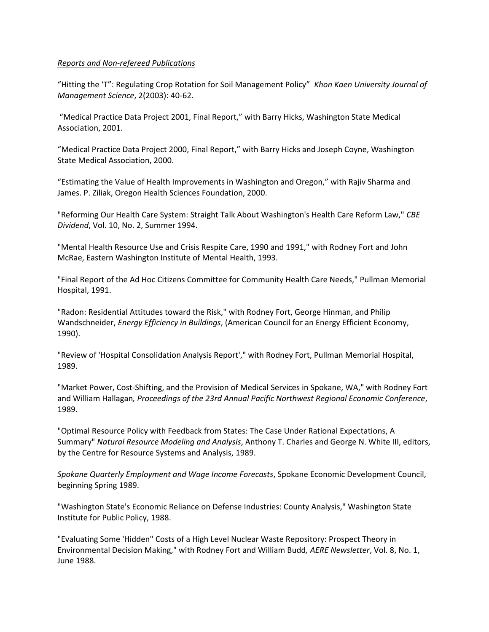## *Reports and Non-refereed Publications*

"Hitting the 'T": Regulating Crop Rotation for Soil Management Policy" *Khon Kaen University Journal of Management Science*, 2(2003): 40-62.

"Medical Practice Data Project 2001, Final Report," with Barry Hicks, Washington State Medical Association, 2001.

"Medical Practice Data Project 2000, Final Report," with Barry Hicks and Joseph Coyne, Washington State Medical Association, 2000.

"Estimating the Value of Health Improvements in Washington and Oregon," with Rajiv Sharma and James. P. Ziliak, Oregon Health Sciences Foundation, 2000.

"Reforming Our Health Care System: Straight Talk About Washington's Health Care Reform Law," *CBE Dividend*, Vol. 10, No. 2, Summer 1994.

"Mental Health Resource Use and Crisis Respite Care, 1990 and 1991," with Rodney Fort and John McRae, Eastern Washington Institute of Mental Health, 1993.

"Final Report of the Ad Hoc Citizens Committee for Community Health Care Needs," Pullman Memorial Hospital, 1991.

"Radon: Residential Attitudes toward the Risk," with Rodney Fort, George Hinman, and Philip Wandschneider, *Energy Efficiency in Buildings*, (American Council for an Energy Efficient Economy, 1990).

"Review of 'Hospital Consolidation Analysis Report'," with Rodney Fort, Pullman Memorial Hospital, 1989.

"Market Power, Cost-Shifting, and the Provision of Medical Services in Spokane, WA," with Rodney Fort and William Hallagan*, Proceedings of the 23rd Annual Pacific Northwest Regional Economic Conference*, 1989.

"Optimal Resource Policy with Feedback from States: The Case Under Rational Expectations, A Summary" *Natural Resource Modeling and Analysis*, Anthony T. Charles and George N. White III, editors, by the Centre for Resource Systems and Analysis, 1989.

*Spokane Quarterly Employment and Wage Income Forecasts*, Spokane Economic Development Council, beginning Spring 1989.

"Washington State's Economic Reliance on Defense Industries: County Analysis," Washington State Institute for Public Policy, 1988.

"Evaluating Some 'Hidden" Costs of a High Level Nuclear Waste Repository: Prospect Theory in Environmental Decision Making," with Rodney Fort and William Budd*, AERE Newsletter*, Vol. 8, No. 1, June 1988.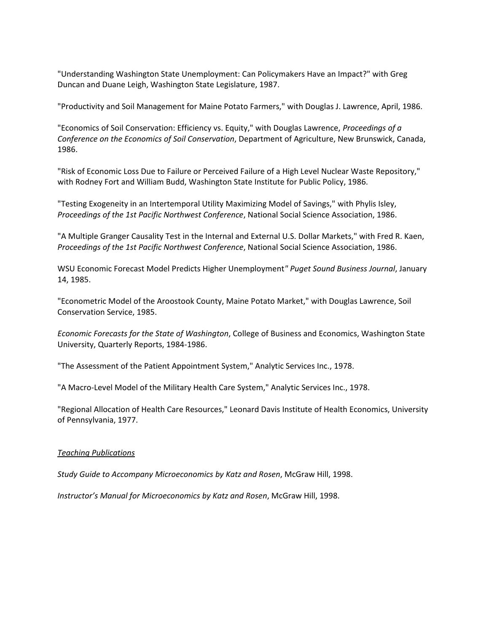"Understanding Washington State Unemployment: Can Policymakers Have an Impact?" with Greg Duncan and Duane Leigh, Washington State Legislature, 1987.

"Productivity and Soil Management for Maine Potato Farmers," with Douglas J. Lawrence, April, 1986.

"Economics of Soil Conservation: Efficiency vs. Equity," with Douglas Lawrence, *Proceedings of a Conference on the Economics of Soil Conservation*, Department of Agriculture, New Brunswick, Canada, 1986.

"Risk of Economic Loss Due to Failure or Perceived Failure of a High Level Nuclear Waste Repository," with Rodney Fort and William Budd, Washington State Institute for Public Policy, 1986.

"Testing Exogeneity in an Intertemporal Utility Maximizing Model of Savings," with Phylis Isley, *Proceedings of the 1st Pacific Northwest Conference*, National Social Science Association, 1986.

"A Multiple Granger Causality Test in the Internal and External U.S. Dollar Markets," with Fred R. Kaen, *Proceedings of the 1st Pacific Northwest Conference*, National Social Science Association, 1986.

WSU Economic Forecast Model Predicts Higher Unemployment*" Puget Sound Business Journal*, January 14, 1985.

"Econometric Model of the Aroostook County, Maine Potato Market," with Douglas Lawrence, Soil Conservation Service, 1985.

*Economic Forecasts for the State of Washington*, College of Business and Economics, Washington State University, Quarterly Reports, 1984-1986.

"The Assessment of the Patient Appointment System," Analytic Services Inc., 1978.

"A Macro-Level Model of the Military Health Care System," Analytic Services Inc., 1978.

"Regional Allocation of Health Care Resources," Leonard Davis Institute of Health Economics, University of Pennsylvania, 1977.

#### *Teaching Publications*

*Study Guide to Accompany Microeconomics by Katz and Rosen*, McGraw Hill, 1998.

*Instructor's Manual for Microeconomics by Katz and Rosen*, McGraw Hill, 1998.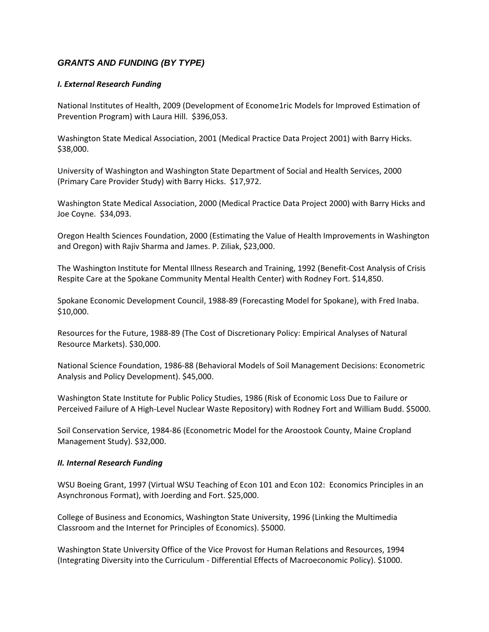# *GRANTS AND FUNDING (BY TYPE)*

# *I. External Research Funding*

National Institutes of Health, 2009 (Development of Econome1ric Models for Improved Estimation of Prevention Program) with Laura Hill. \$396,053.

Washington State Medical Association, 2001 (Medical Practice Data Project 2001) with Barry Hicks. \$38,000.

University of Washington and Washington State Department of Social and Health Services, 2000 (Primary Care Provider Study) with Barry Hicks. \$17,972.

Washington State Medical Association, 2000 (Medical Practice Data Project 2000) with Barry Hicks and Joe Coyne. \$34,093.

Oregon Health Sciences Foundation, 2000 (Estimating the Value of Health Improvements in Washington and Oregon) with Rajiv Sharma and James. P. Ziliak, \$23,000.

The Washington Institute for Mental Illness Research and Training, 1992 (Benefit-Cost Analysis of Crisis Respite Care at the Spokane Community Mental Health Center) with Rodney Fort. \$14,850.

Spokane Economic Development Council, 1988-89 (Forecasting Model for Spokane), with Fred Inaba. \$10,000.

Resources for the Future, 1988-89 (The Cost of Discretionary Policy: Empirical Analyses of Natural Resource Markets). \$30,000.

National Science Foundation, 1986-88 (Behavioral Models of Soil Management Decisions: Econometric Analysis and Policy Development). \$45,000.

Washington State Institute for Public Policy Studies, 1986 (Risk of Economic Loss Due to Failure or Perceived Failure of A High-Level Nuclear Waste Repository) with Rodney Fort and William Budd. \$5000.

Soil Conservation Service, 1984-86 (Econometric Model for the Aroostook County, Maine Cropland Management Study). \$32,000.

#### *II. Internal Research Funding*

WSU Boeing Grant, 1997 (Virtual WSU Teaching of Econ 101 and Econ 102: Economics Principles in an Asynchronous Format), with Joerding and Fort. \$25,000.

College of Business and Economics, Washington State University, 1996 (Linking the Multimedia Classroom and the Internet for Principles of Economics). \$5000.

Washington State University Office of the Vice Provost for Human Relations and Resources, 1994 (Integrating Diversity into the Curriculum - Differential Effects of Macroeconomic Policy). \$1000.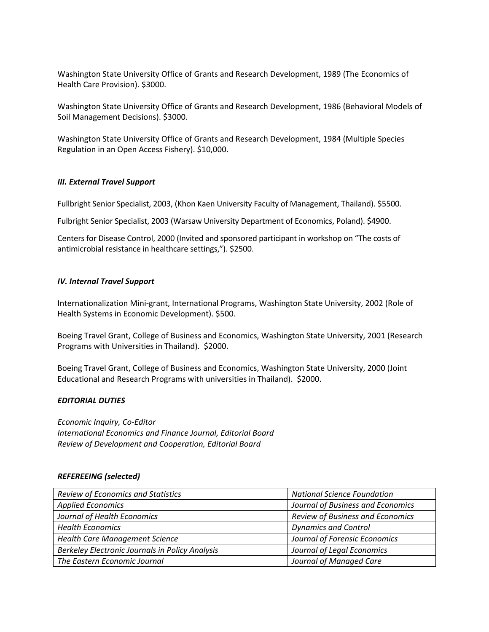Washington State University Office of Grants and Research Development, 1989 (The Economics of Health Care Provision). \$3000.

Washington State University Office of Grants and Research Development, 1986 (Behavioral Models of Soil Management Decisions). \$3000.

Washington State University Office of Grants and Research Development, 1984 (Multiple Species Regulation in an Open Access Fishery). \$10,000.

# *III. External Travel Support*

Fullbright Senior Specialist, 2003, (Khon Kaen University Faculty of Management, Thailand). \$5500.

Fulbright Senior Specialist, 2003 (Warsaw University Department of Economics, Poland). \$4900.

Centers for Disease Control, 2000 (Invited and sponsored participant in workshop on "The costs of antimicrobial resistance in healthcare settings,"). \$2500.

# *IV. Internal Travel Support*

Internationalization Mini-grant, International Programs, Washington State University, 2002 (Role of Health Systems in Economic Development). \$500.

Boeing Travel Grant, College of Business and Economics, Washington State University, 2001 (Research Programs with Universities in Thailand). \$2000.

Boeing Travel Grant, College of Business and Economics, Washington State University, 2000 (Joint Educational and Research Programs with universities in Thailand). \$2000.

# *EDITORIAL DUTIES*

*Economic Inquiry, Co-Editor International Economics and Finance Journal, Editorial Board Review of Development and Cooperation, Editorial Board*

# *REFEREEING (selected)*

| <b>Review of Economics and Statistics</b>       | <b>National Science Foundation</b> |
|-------------------------------------------------|------------------------------------|
| <b>Applied Economics</b>                        | Journal of Business and Economics  |
| Journal of Health Economics                     | Review of Business and Economics   |
| <b>Health Economics</b>                         | <b>Dynamics and Control</b>        |
| <b>Health Care Management Science</b>           | Journal of Forensic Economics      |
| Berkeley Electronic Journals in Policy Analysis | Journal of Legal Economics         |
| The Eastern Economic Journal                    | Journal of Managed Care            |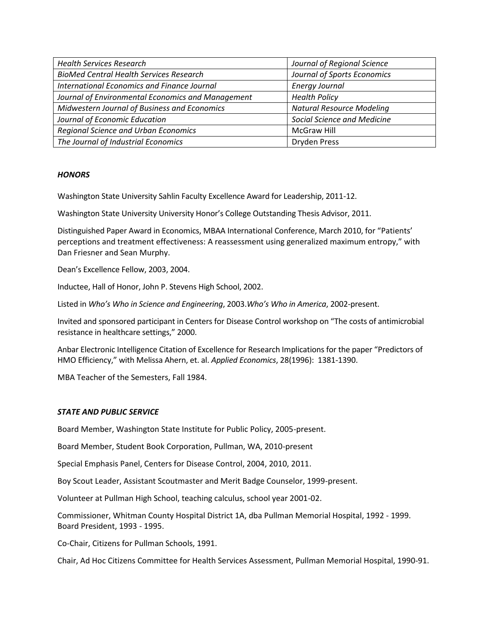| <b>Health Services Research</b>                   | Journal of Regional Science        |
|---------------------------------------------------|------------------------------------|
| <b>BioMed Central Health Services Research</b>    | Journal of Sports Economics        |
| International Economics and Finance Journal       | <b>Energy Journal</b>              |
| Journal of Environmental Economics and Management | <b>Health Policy</b>               |
| Midwestern Journal of Business and Economics      | <b>Natural Resource Modeling</b>   |
| Journal of Economic Education                     | <b>Social Science and Medicine</b> |
| Regional Science and Urban Economics              | McGraw Hill                        |
| The Journal of Industrial Economics               | <b>Dryden Press</b>                |

# *HONORS*

Washington State University Sahlin Faculty Excellence Award for Leadership, 2011-12.

Washington State University University Honor's College Outstanding Thesis Advisor, 2011.

Distinguished Paper Award in Economics, MBAA International Conference, March 2010, for "Patients' perceptions and treatment effectiveness: A reassessment using generalized maximum entropy," with Dan Friesner and Sean Murphy.

Dean's Excellence Fellow, 2003, 2004.

Inductee, Hall of Honor, John P. Stevens High School, 2002.

Listed in *Who's Who in Science and Engineering*, 2003.*Who's Who in America*, 2002-present.

Invited and sponsored participant in Centers for Disease Control workshop on "The costs of antimicrobial resistance in healthcare settings," 2000.

Anbar Electronic Intelligence Citation of Excellence for Research Implications for the paper "Predictors of HMO Efficiency," with Melissa Ahern, et. al. *Applied Economics*, 28(1996): 1381-1390.

MBA Teacher of the Semesters, Fall 1984.

# *STATE AND PUBLIC SERVICE*

Board Member, Washington State Institute for Public Policy, 2005-present.

Board Member, Student Book Corporation, Pullman, WA, 2010-present

Special Emphasis Panel, Centers for Disease Control, 2004, 2010, 2011.

Boy Scout Leader, Assistant Scoutmaster and Merit Badge Counselor, 1999-present.

Volunteer at Pullman High School, teaching calculus, school year 2001-02.

Commissioner, Whitman County Hospital District 1A, dba Pullman Memorial Hospital, 1992 - 1999. Board President, 1993 - 1995.

Co-Chair, Citizens for Pullman Schools, 1991.

Chair, Ad Hoc Citizens Committee for Health Services Assessment, Pullman Memorial Hospital, 1990-91.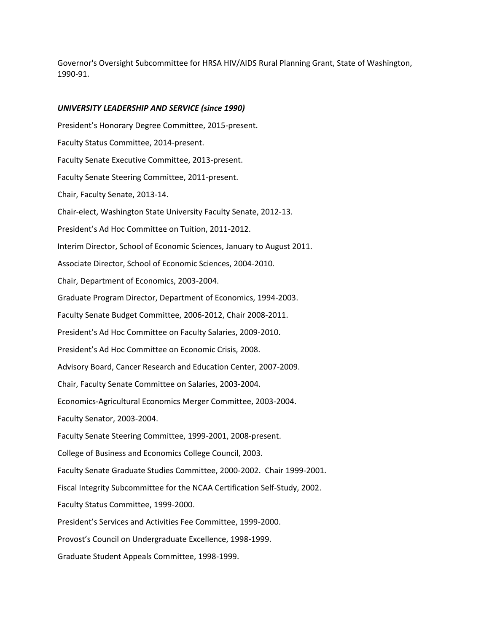Governor's Oversight Subcommittee for HRSA HIV/AIDS Rural Planning Grant, State of Washington, 1990-91.

#### *UNIVERSITY LEADERSHIP AND SERVICE (since 1990)*

President's Honorary Degree Committee, 2015-present. Faculty Status Committee, 2014-present. Faculty Senate Executive Committee, 2013-present. Faculty Senate Steering Committee, 2011-present. Chair, Faculty Senate, 2013-14. Chair-elect, Washington State University Faculty Senate, 2012-13. President's Ad Hoc Committee on Tuition, 2011-2012. Interim Director, School of Economic Sciences, January to August 2011. Associate Director, School of Economic Sciences, 2004-2010. Chair, Department of Economics, 2003-2004. Graduate Program Director, Department of Economics, 1994-2003. Faculty Senate Budget Committee, 2006-2012, Chair 2008-2011. President's Ad Hoc Committee on Faculty Salaries, 2009-2010. President's Ad Hoc Committee on Economic Crisis, 2008. Advisory Board, Cancer Research and Education Center, 2007-2009. Chair, Faculty Senate Committee on Salaries, 2003-2004. Economics-Agricultural Economics Merger Committee, 2003-2004. Faculty Senator, 2003-2004. Faculty Senate Steering Committee, 1999-2001, 2008-present. College of Business and Economics College Council, 2003. Faculty Senate Graduate Studies Committee, 2000-2002. Chair 1999-2001. Fiscal Integrity Subcommittee for the NCAA Certification Self-Study, 2002. Faculty Status Committee, 1999-2000. President's Services and Activities Fee Committee, 1999-2000. Provost's Council on Undergraduate Excellence, 1998-1999. Graduate Student Appeals Committee, 1998-1999.